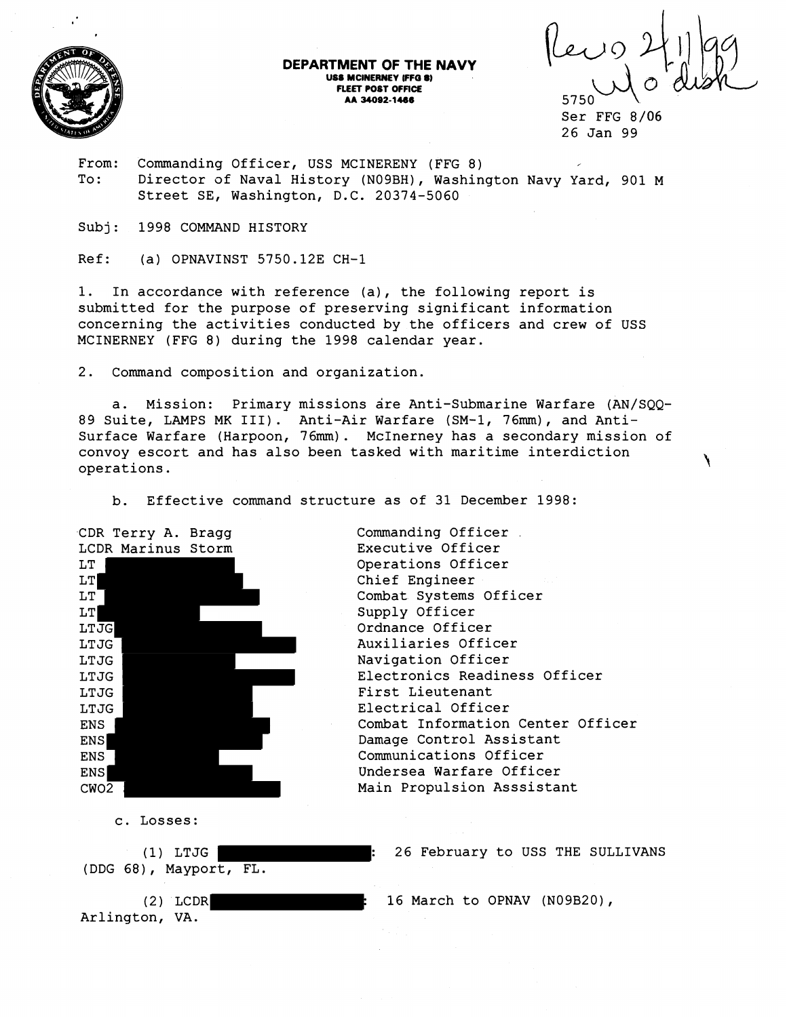

## **DEPARTMENT OF THE NAVY US6 MCINERNEY IFF0** *8)*  **FLEET POST OFFICE AA 34092-1466**

Ser FFG 8/06 26 Jan 99

From: Commanding Officer, USS MCINERENY (FFG 8) To: Director of Naval History (NO9BH), Washington Navy Yard, 901 M Street SE, Washington, D.C. 20374-5060

Subj: 1998 COMMAND HISTORY

 $Ref:$  (a) OPNAVINST 5750.12E CH-1

1. In accordance with reference (a), the following report is submitted for the purpose of preserving significant information concerning the activities conducted by the officers and crew of USS MCINERNEY (FFG 8) during the 1998 calendar year.

2. Command composition and organization.

a. Mission: Primary missions are Anti-Submarine Warfare (AN/SQQ-89 Suite, LAMPS MK 111). Anti-Air Warfare (SM-1, 76mm), and Anti-Surface Warfare (Harpoon, 76mm). McInerney has a secondary mission of convoy escort and has also been tasked with maritime interdiction operations.

b. Effective command structure as of 31 December 1998:

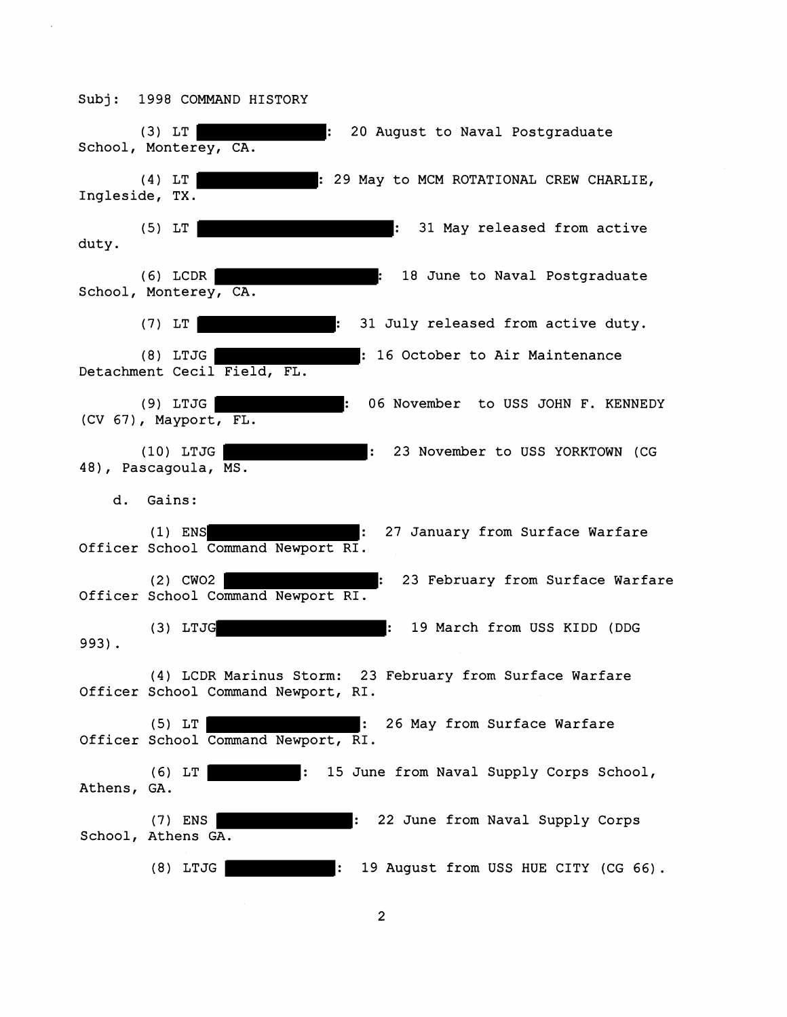(3) LT : 20 August to Naval Postgraduate School, Monterey, CA. (4) LT : 29 May to MCM ROTATIONAL CREW CHARLIE, Ingleside, TX. (5) LT : 31 May released from active duty. (6) LCDR : 18 June to Naval Postgraduate School, Monterey, CA. (7) LT : 31 July released from active duty. (8) LTJG **External COLOGET 16 October to Air Maintenance** Detachment Cecil Field, FL. (9) LTJG | Something the November to USS JOHN F. KENNEDY (CV 67), Mayport, FL. (10) LTJG | THE RESOLUTION CONSTRUCTED NOVEMBER TO USS YORKTOWN (CG 48), Pascagoula, MS. d. Gains: (1) ENS **EXECUTE:** 27 January from Surface Warfare Officer School Command Newport RI. (2) CWO2 : 23 February from Surface Warfare Officer School Command Newport RI. (3) LTJG : 19 March from USS KIDD (DDG 993) . (4) LCDR Marinus Storm: 23 February from Surface Warfare Officer School Command Newport, RI. (5) LT : 26 May from Surface Warfare Officer School Command Newport, RI. (6) LT : 15 June from Naval Supply Corps School, Athens, GA. (7) ENS **Example 22 June from Naval Supply Corps** School, Athens GA. (8) LTJG : 19 August from USS HUE CITY (CG 66) .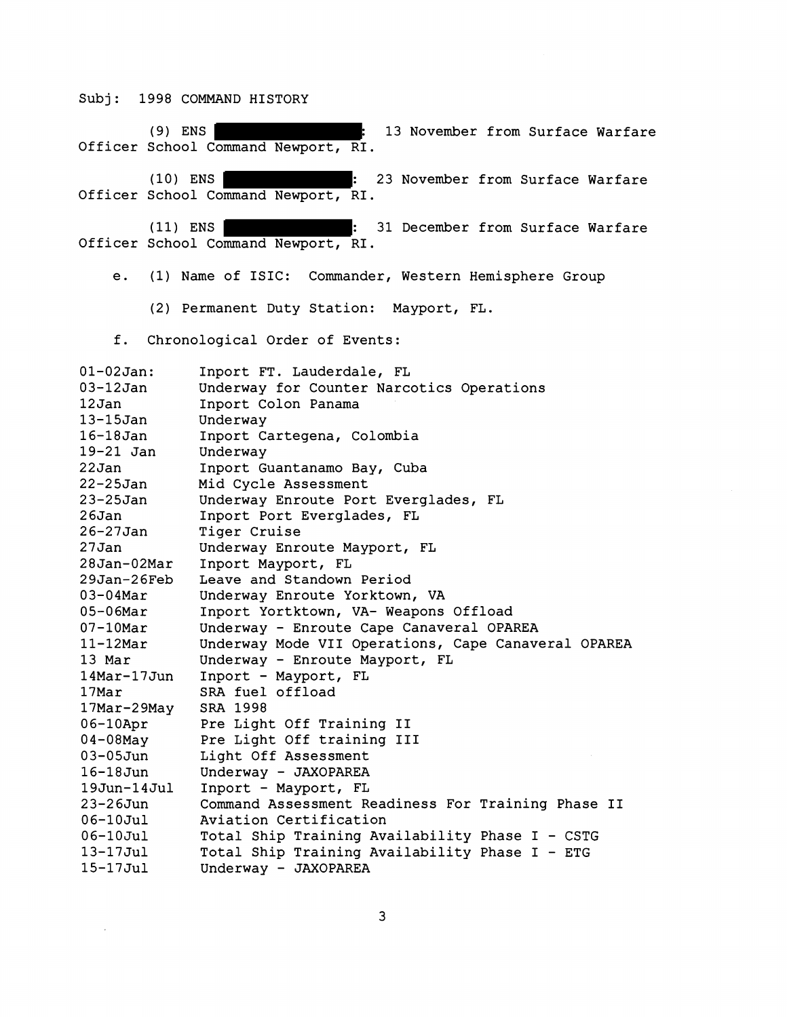(9) ENS : 13 November from Surface Warfare Officer School Command Newport, RI. (10) ENS : 23 November from Surface Warfare Officer School Command Newport, RI. (11) ENS : 31 December from Surface Warfare Officer School Command Newport, RI. e. (1) Name of ISIC: Commander, Western Hemisphere Group (2) Permanent Duty Station: Mayport, FL. f. Chronological Order of Events: 01-02 Jan: 03-12 Jan 12 Jan 13-15Jan 16-18 Jan 19-21 Jan 2 2 Jan 22-25Jan 23-25Jan  $26$ Jan 26-27 Jan 27 Jan 28 Jan-02Mar 29 Jan-2 6Feb 03-04Mar 05-06Mar 07-1OMar 11-12Mar 13 Mar 14Mar- 17 Jun 17Mar 17Mar-2 9May 06-1OApr 04-08May 03-05Jun 16-18Jun 19Jun-14Jul 23-26Jun 06-10Jul 06-1OJul 13-17Jul 15-17Jul Inport FT. Lauderdale, FL Underway for Counter Narcotics Operations Inport Colon Panama Underway Inport Cartegena, Colombia Underway Inport Guantanamo Bay, Cuba Mid Cycle Assessment Underway Enroute Port Everglades, FL Inport Port Everglades, FL Tiger Cruise Underway Enroute Mayport, FL Inport Mayport, FL Leave and Standown Period Underway Enroute Yorktown, VA Inport Yortktown, VA- Weapons Offload Underway - Enroute Cape Canaveral OPAREA Underway Mode VII Operations, Cape Canaveral OPAREA Underway - Enroute Mayport, FL Inport - Mayport, FL SRA fuel offload SRA 1998 Pre Light Off Training I1 Pre Light Off training I11 Light Off Assessment Underway - JAXOPAREA Inport - Mayport, FL Command Assessment Readiness For Training Phase I1 Aviation Certification Total Ship Training Availability Phase I - CSTG Total Ship Training Availability Phase I - ETG Underway - JAXOPAREA

3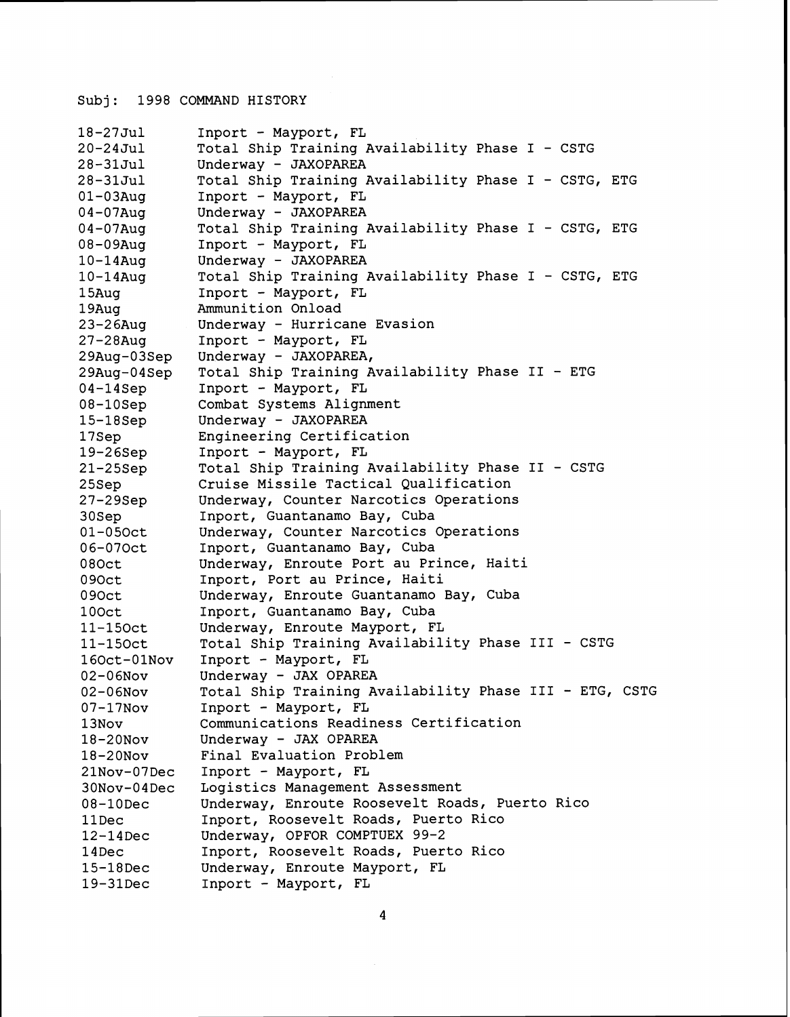```
18-27 Jul 
20 - 24Jul
28-31 Jul 
28-31Ju1 
01-03Aug 
04 - 07Aug
0 4 - 0 7Aug 
08-09Aug 
10 - 14Aug
10-14Aug 
15Aug 
19Aug 
23-26Aug 
27-28Aug 
29Aug-03Sep 
29Aug-04Sep 
04-14Sep 
08-10Sep 
15-18Sep 
17Sep 
19-26Sep 
21-25Sep 
25Sep 
27-29Sep 
30Sep 
01-050ct 
06-070ct 
080ct 
0 90ct 
0 90ct 
1 OOct 
11-150ct 
11-150ct 
160ct-01N0v 
02-06Nov 
02-06N0v 
07-17Nov 
13Nov 
18-20Nov 
18 -2 ONOV 
21Nov-07Dec 
30Nov-04Dec 
08-10Dec 
llDec 
12-14Dec 
14Dec 
15-18Dec 
19-31Dec 
               Inport - Mayport, FL 
               Total Ship Training Availability Phase I - CSTG 
               Underway - JAXOPAREA 
               Total Ship Training Availability Phase I - CSTG, ETG 
               Inport - Mayport, FL 
               Underway - JAXOPAREA 
               Total Ship Training Availability Phase I - CSTG, ETG 
               Inport - Mayport, FL 
               Underway - JAXOPAREA 
               Total Ship Training Availability Phase I - CSTG, ETG 
               Inport - Mayport, FL 
               Ammunition Onload 
               Underway - Hurricane Evasion 
               Inport - Mayport, FL 
               Underway - JAXOPAREA, 
               Total Ship Training Availability Phase I1 - ETG 
               Inport - Mayport, FL 
               Combat Systems Alignment 
               Underway - JAXOPAREA 
               Engineering Certification 
               Inport - Mayport, FL 
               Total Ship Training Availability Phase I1 - CSTG 
               Cruise Missile Tactical Qualification 
               Underway, Counter Narcotics Operations 
               Inport, Guantanamo Bay, Cuba 
               Underway, Counter Narcotics Operations 
               Inport, Guantanamo Bay, Cuba 
               Underway, Enroute Port au Prince, Haiti 
               Inport, Port au Prince, Haiti 
               Underway, Enroute Guantanamo Bay, Cuba 
               Inport, Guantanamo Bay, Cuba 
               Underway, Enroute Mayport, FL 
               Total Ship Training Availability Phase I11 - CSTG 
               Inport - Mayport, FL 
               Underway - JAX OPAREA 
               Total Ship Training Availability Phase I11 - ETG, CSTG 
               Inport - Mayport, FL 
               Communications Readiness Certification 
               Underway - JAX OPAREA 
               Final Evaluation Problem 
               Inport - Mayport, FL 
               Logistics Management Assessment 
               Underway, Enroute Roosevelt Roads, Puerto Rico 
               Inport, Roosevelt Roads, Puerto Rico 
               Underway, OPFOR COMPTUEX 99-2 
               Inport, Roosevelt Roads, Puerto Rico 
               Underway, Enroute Mayport, FL 
               Inport - Mayport, FL
```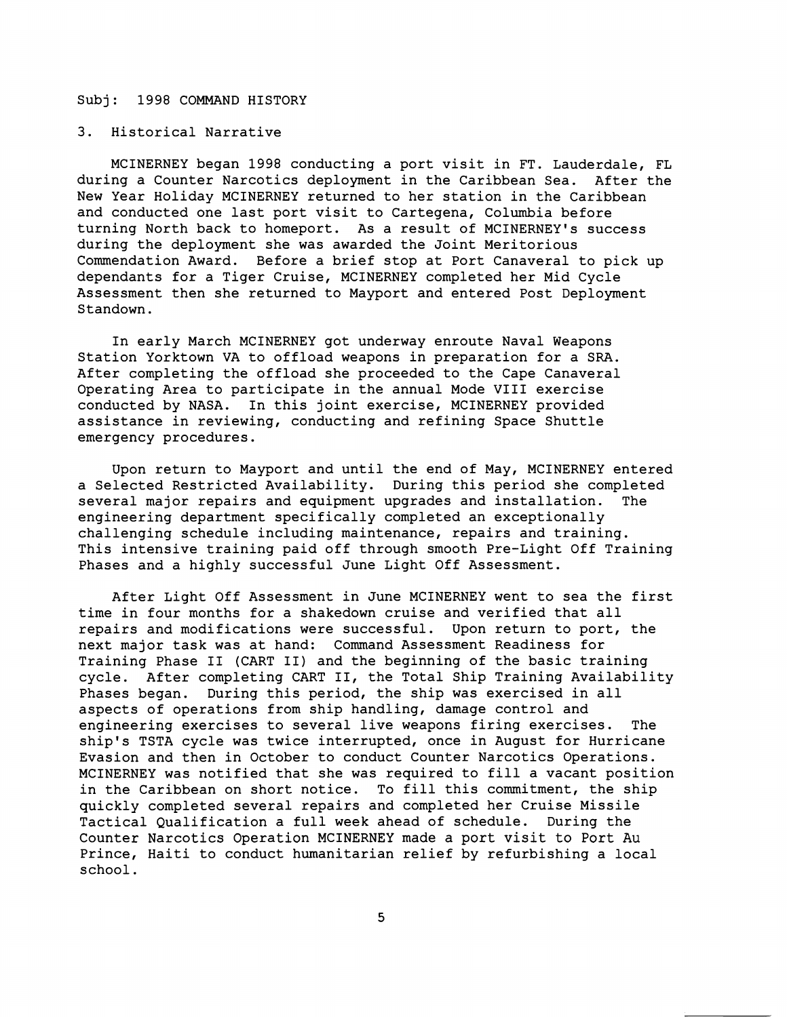## 3. Historical Narrative

MCINERNEY began **1998** conducting a port visit in FT. Lauderdale, FL during a Counter Narcotics deployment in the Caribbean Sea. After the New Year Holiday MCINERNEY returned to her station in the Caribbean and conducted one last port visit to Cartegena, Columbia before turning North back to homeport. As a result of MCINERNEY's success during the deployment she was awarded the Joint Meritorious Commendation Award. Before a brief stop at Port Canaveral to pick up dependants for a Tiger Cruise, MCINERNEY completed her Mid Cycle Assessment then she returned to Mayport and entered Post Deployment Standown.

In early March MCINERNEY got underway enroute Naval Weapons Station Yorktown VA to offload weapons in preparation for a SRA. After completing the offload she proceeded to the Cape Canaveral Operating Area to participate in the annual Mode VIII exercise conducted by NASA. In this joint exercise, MCINERNEY provided assistance in reviewing, conducting and refining Space Shuttle emergency procedures.

Upon return to Mayport and until the end of May, MCINERNEY entered a Selected Restricted Availability. During this period she completed several major repairs and equipment upgrades and installation. The engineering department specifically completed an exceptionally challenging schedule including maintenance, repairs and training. This intensive training paid off through smooth Pre-Light Off Training Phases and a highly successful June Light Off Assessment.

After Light Off Assessment in June MCINERNEY went to sea the first time in four months for a shakedown cruise and verified that all repairs and modifications were successful. Upon return to port, the next major task was at hand: Command Assessment Readiness for Training Phase I1 (CART 11) and the beginning of the basic training cycle. After completing CART 11, the Total Ship Training Availability Phases began. During this period, the ship was exercised in all aspects of operations from ship handling, damage control and engineering exercises to several live weapons firing exercises. The ship's TSTA cycle was twice interrupted, once in August for Hurricane Evasion and then in October to conduct Counter Narcotics Operations. MCINERNEY was notified that she was required to fill a vacant position in the Caribbean on short notice. To fill this commitment, the ship quickly completed several repairs and completed her Cruise Missile Tactical Qualification a full week ahead of schedule. During the Counter Narcotics Operation MCINERNEY made a port visit to Port Au Prince, Haiti to conduct humanitarian relief by refurbishing a local school.